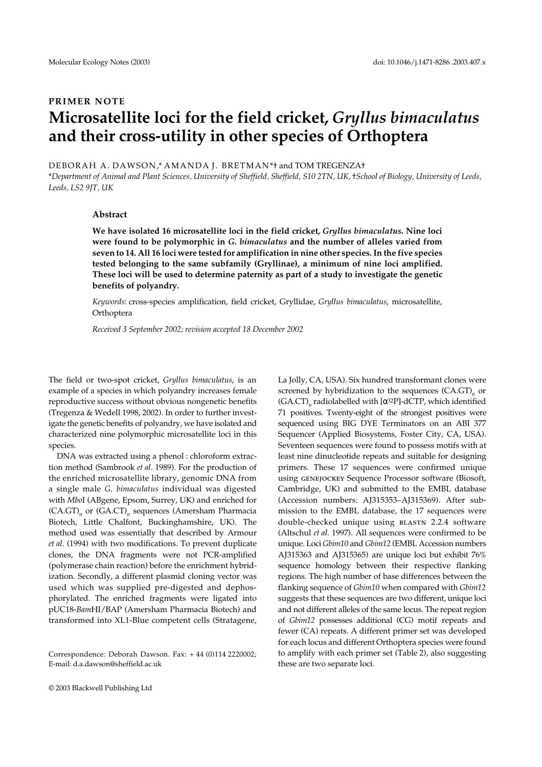# **PRIMER NOTE Microsatellite loci for the field cricket,** *Gryllus bimaculatus* **and their cross-utility in other species of Orthoptera**

DEBORAH A. DAWSON,\* AMANDA J. BRETMAN\*† and TOM TREGENZA†

\**Department of Animal and Plant Sciences, University of Sheffield, Sheffield, S10 2TN, UK,* †*School of Biology, University of Leeds, Leeds, LS2 9JT, UK* 

## **Abstract**

**We have isolated 16 microsatellite loci in the field cricket,** *Gryllus bimaculatus***. Nine loci were found to be polymorphic in** *G. bimaculatus* **and the number of alleles varied from seven to 14. All 16 loci were tested for amplification in nine other species. In the five species tested belonging to the same subfamily (Gryllinae), a minimum of nine loci amplified. These loci will be used to determine paternity as part of a study to investigate the genetic benefits of polyandry.**

*Keywords*: cross-species amplification, field cricket, Gryllidae, *Gryllus bimaculatus*, microsatellite, Orthoptera

*Received 3 September 2002; revision accepted 18 December 2002*

The field or two-spot cricket, *Gryllus bimaculatus*, is an example of a species in which polyandry increases female reproductive success without obvious nongenetic benefits (Tregenza & Wedell 1998, 2002). In order to further investigate the genetic benefits of polyandry, we have isolated and characterized nine polymorphic microsatellite loci in this species.

DNA was extracted using a phenol : chloroform extraction method (Sambrook *et al.* 1989). For the production of the enriched microsatellite library, genomic DNA from a single male *G. bimaculatus* individual was digested with *Mbo*I (ABgene, Epsom, Surrey, UK) and enriched for (CA.GT)*n* or (GA.CT)*n* sequences (Amersham Pharmacia Biotech, Little Chalfont, Buckinghamshire, UK). The method used was essentially that described by Armour *et al*. (1994) with two modifications. To prevent duplicate clones, the DNA fragments were not PCR-amplified (polymerase chain reaction) before the enrichment hybridization. Secondly, a different plasmid cloning vector was used which was supplied pre-digested and dephosphorylated. The enriched fragments were ligated into pUC18-*Bam*HI/BAP (Amersham Pharmacia Biotech) and transformed into XL1-Blue competent cells (Stratagene,

La Jolly, CA, USA). Six hundred transformant clones were screened by hybridization to the sequences (CA.GT)<sub>n</sub> or  $(GA.CT)$ <sub>n</sub> radiolabelled with  $[\alpha^{32}P]$ -dCTP, which identified 71 positives. Twenty-eight of the strongest positives were sequenced using BIG DYE Terminators on an ABI 377 Sequencer (Applied Biosystems, Foster City, CA, USA). Seventeen sequences were found to possess motifs with at least nine dinucleotide repeats and suitable for designing primers. These 17 sequences were confirmed unique using genejockey Sequence Processor software (Biosoft, Cambridge, UK) and submitted to the EMBL database (Accession numbers: AJ315353–AJ315369). After submission to the EMBL database, the 17 sequences were double-checked unique using BLASTN 2.2.4 software (Altschul *et al.* 1997). All sequences were confirmed to be unique. Loci *Gbim10* and *Gbim12* (EMBL Accession numbers AJ315363 and AJ315365) are unique loci but exhibit 76% sequence homology between their respective flanking regions. The high number of base differences between the flanking sequence of *Gbim10* when compared with *Gbim12* suggests that these sequences are two different, unique loci and not different alleles of the same locus. The repeat region of *Gbim12* possesses additional (CG) motif repeats and fewer (CA) repeats. A different primer set was developed for each locus and different Orthoptera species were found to amplify with each primer set (Table 2), also suggesting these are two separate loci.

Correspondence: Deborah Dawson. Fax: + 44 (0)114 2220002; E-mail: d.a.dawson@sheffield.ac.uk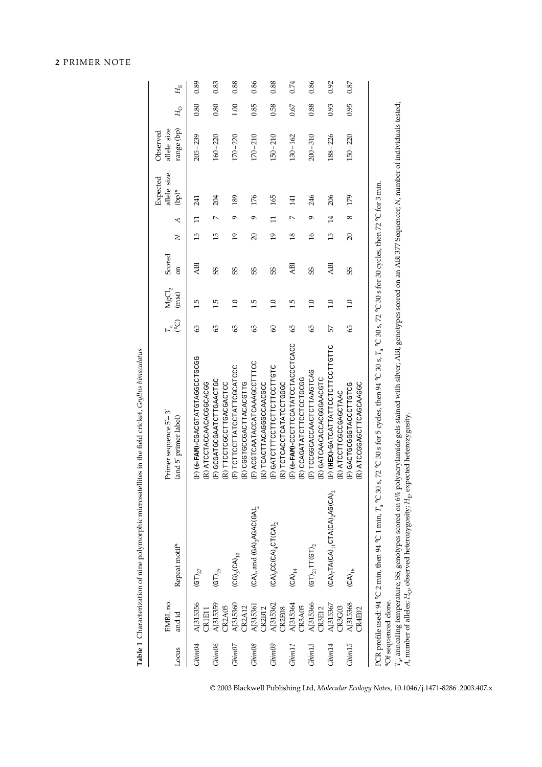| 2 PRIMER NOTE |  |
|---------------|--|
|---------------|--|

**Table 1** Characterization of nine polymorphic microsatellites in the field cricket, *Gryllus bimaculatus*

Table 1 Characterization of nine polymorphic microsatellites in the field cricket, Gryllus binnaculatus

| Locus              | EMBL no.<br>and id   | Repeat motif <sup>*</sup>                                                                                                                                                    | Primer sequence 5'-3'<br>(and 5' primer label)                                                                                                                                                                                                                                                           | $F_a^{\circ}$ C | $\ensuremath{\mathsf{M}\mathsf{g}\mathsf{C}\mathsf{1}}_2$ (mm) | Scored<br>$\overline{5}$ | $\geq$          | $(bp)^*$<br>₹         | allele size<br>Expected | allele size<br>range (bp)<br>Observed | $H_{\rm O}$ | $H_{\rm E}$ |
|--------------------|----------------------|------------------------------------------------------------------------------------------------------------------------------------------------------------------------------|----------------------------------------------------------------------------------------------------------------------------------------------------------------------------------------------------------------------------------------------------------------------------------------------------------|-----------------|----------------------------------------------------------------|--------------------------|-----------------|-----------------------|-------------------------|---------------------------------------|-------------|-------------|
| Gbim04             | AJ315356<br>CR1E11   | $\left(\text{GT}\right)_{27}$                                                                                                                                                | COODDOORECHAFOOROO-(MAF-9) (H)<br>(R) ATCCTACCAACACGCACGG                                                                                                                                                                                                                                                | 9               | 1.5                                                            | <b>ABI</b>               | 15              | 241<br>$\Box$         |                         | $205 - 239$                           | 0.80        | 0.89        |
| Gbin06             | AJ315359<br>CR2A05   | $\left( \text{GT} \right)_{25}$                                                                                                                                              | E) GCGATGAATCTTGAACTG<br>(R) TTCCTCGCCTTGACGACTCC                                                                                                                                                                                                                                                        | 9               | 1.5                                                            | SS                       | 15              | 204<br>$\overline{a}$ |                         | $160 - 220$                           | 0.80        | 0.83        |
| Gbin07             | AJ315360<br>CR2A12   | $(CG)_{3}(CA)_{10}$                                                                                                                                                          | (F) TCTTCCTTATCCTATTCGATCC<br>(R) CGGTGCCGACTTACACGTTG                                                                                                                                                                                                                                                   | 99              | 1.0                                                            | SS                       | 19              | 189<br>ó              |                         | $170 - 220$                           | 1.00        | 0.88        |
| Gbin08             | AJ315361<br>CR2B12   | $(CA)$ <sub>9</sub> and $(GA)$ <sub>3</sub> AGAC(GA) <sub>2</sub>                                                                                                            | (F) ACGTCAATACCATCAAAGCCTTTCC<br>(R) TCACTTACAGGCCAACGC                                                                                                                                                                                                                                                  | 99              | 1.5                                                            | SS                       | 20              | 176<br>ó              |                         | $170 - 210$                           | 0.85        | 0.86        |
| Gbin09             | AJ315362<br>CR2E08   | $(CA)$ <sub>9</sub> CC(CA) <sub>4</sub> CT(CA) <sub>2</sub>                                                                                                                  | CHOUTCOTTOUR CHANGE<br>(R) TCTCACCTCATATCTCGGC                                                                                                                                                                                                                                                           | $\infty$        | 1.0                                                            | SS                       | $\overline{19}$ | 165<br>$\Box$         |                         | $150 - 210$                           | 0.58        | 0.88        |
| Gbin11             | AJ315364<br>CR3A05   | $(CA)_{14}$                                                                                                                                                                  | (F) (6-FAM)-CCCTTCCATATCCTACCTCACC<br>(R) CCAGATATCTTCCTCCTGCGG                                                                                                                                                                                                                                          | S)              | 1.5                                                            | <b>ABI</b>               | 18              | 141<br>$\overline{ }$ |                         | $130 - 162$                           | 0.67        | 0.74        |
| Gbin <sub>13</sub> | AJ315366<br>CR3E12   | $\left(\mathrm{GT}\right)_{21}\mathrm{TT}(\mathrm{GT})_{2}$                                                                                                                  | (F) TOOGGOACCAACTERAGTOAC<br>(R) GATCAACACCACGGAACGTC                                                                                                                                                                                                                                                    | 45              | 1.0                                                            | SS                       | $\overline{16}$ | 246<br>Ó              |                         | $200 - 310$                           | 0.88        | 0.86        |
| Gbin14             | AJ315367<br>CR3G03   | $(\mathtt{CA})_7\mathtt{TA}(\mathtt{CA})_{11}\mathtt{CTA}(\mathtt{CA})_2\mathtt{AG}(\mathtt{CA})_2$                                                                          | (F) (HEX)-GATCATTATTCCTCTTCCTTGTTC<br>(R) ATCCTTGGGGAGCTAAC                                                                                                                                                                                                                                              | 57              | 1.0                                                            | ABI                      | 15              | 206<br>$\overline{1}$ |                         | $188 - 226$                           | 0.93        | 0.92        |
| Gbin15             | AJ315368<br>CR4E02   | $(CA)_{16}$                                                                                                                                                                  | (R) ATCCGAGCTTCAGCAAGGC<br><b>COLOHNOOKHOOOOODHOKO (H)</b>                                                                                                                                                                                                                                               | 99              | 1.0                                                            | SS                       | 20              | 179<br>$^{\circ}$     |                         | $150 - 220$                           | 0.95        | 0.87        |
|                    | *Of sequenced clone. | A, number of alleles; $H_{\rm O}$ , observed heterozygosity; $H_{\rm E}$ , expected heterozygosity.<br>PCR profile used: 94 °C 2 min, then 94 °C 1 min, T <sub>a</sub> °C 30 | $T_a$ annealing temperature; SS, genotypes scored on 6% polyacrylamide gels stained with silver; ABI, genotypes scored on an ABI 377 Sequencer; N, number of individuals tested;<br>s, 72 °C 30 s for 5 cycles, then 94 °C 30 s, T <sub>a</sub> °C 30 s, 72 °C 30 s for 30 cycles, then 72 °C for 3 min. |                 |                                                                |                          |                 |                       |                         |                                       |             |             |
|                    |                      |                                                                                                                                                                              |                                                                                                                                                                                                                                                                                                          |                 |                                                                |                          |                 |                       |                         |                                       |             |             |

© 2003 Blackwell Publishing Ltd, *Molecular Ecology Notes*, 10.1046/j.1471-8286 .2003.407.x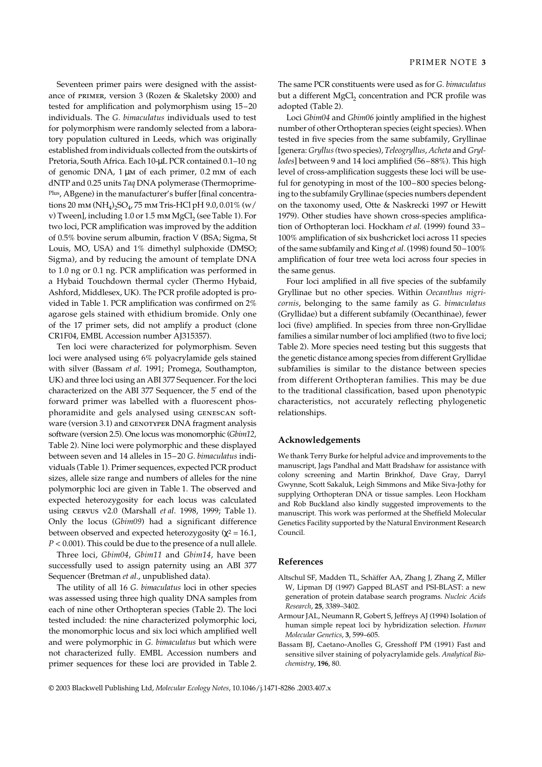Seventeen primer pairs were designed with the assistance of primer, version 3 (Rozen & Skaletsky 2000) and tested for amplification and polymorphism using 15–20 individuals. The *G. bimaculatus* individuals used to test for polymorphism were randomly selected from a laboratory population cultured in Leeds, which was originally established from individuals collected from the outskirts of Pretoria, South Africa. Each 10-µL PCR contained 0.1–10 ng of genomic DNA, 1 µm of each primer, 0.2 mm of each dNTP and 0.25 units *Taq* DNA polymerase (Thermoprime-Plus, ABgene) in the manufacturer's buffer [final concentrations 20 mm (NH<sub>4</sub>)<sub>2</sub>SO<sub>4</sub>, 75 mm Tris-HCl pH 9.0, 0.01% (w/ v) Tween], including  $1.0$  or  $1.5$  mm MgCl<sub>2</sub> (see Table 1). For two loci, PCR amplification was improved by the addition of 0.5% bovine serum albumin, fraction V (BSA; Sigma, St Louis, MO, USA) and 1% dimethyl sulphoxide (DMSO; Sigma), and by reducing the amount of template DNA to 1.0 ng or 0.1 ng. PCR amplification was performed in a Hybaid Touchdown thermal cycler (Thermo Hybaid, Ashford, Middlesex, UK). The PCR profile adopted is provided in Table 1. PCR amplification was confirmed on 2% agarose gels stained with ethidium bromide. Only one of the 17 primer sets, did not amplify a product (clone CR1F04, EMBL Accession number AJ315357).

Ten loci were characterized for polymorphism. Seven loci were analysed using 6% polyacrylamide gels stained with silver (Bassam *et al*. 1991; Promega, Southampton, UK) and three loci using an ABI 377 Sequencer. For the loci characterized on the ABI 377 Sequencer, the 5′ end of the forward primer was labelled with a fluorescent phosphoramidite and gels analysed using genescan software (version 3.1) and GENOTYPER DNA fragment analysis software (version 2.5). One locus was monomorphic (*Gbim12*, Table 2). Nine loci were polymorphic and these displayed between seven and 14 alleles in 15–20 *G. bimaculatus* individuals (Table 1). Primer sequences, expected PCR product sizes, allele size range and numbers of alleles for the nine polymorphic loci are given in Table 1. The observed and expected heterozygosity for each locus was calculated using cervus v2.0 (Marshall *et al*. 1998, 1999; Table 1). Only the locus (*Gbim09*) had a significant difference between observed and expected heterozygosity ( $\chi^2$  = 16.1, *P* < 0.001). This could be due to the presence of a null allele.

Three loci, *Gbim04*, *Gbim11* and *Gbim14*, have been successfully used to assign paternity using an ABI 377 Sequencer (Bretman *et al*., unpublished data).

The utility of all 16 *G. bimaculatus* loci in other species was assessed using three high quality DNA samples from each of nine other Orthopteran species (Table 2). The loci tested included: the nine characterized polymorphic loci, the monomorphic locus and six loci which amplified well and were polymorphic in *G. bimaculatus* but which were not characterized fully. EMBL Accession numbers and primer sequences for these loci are provided in Table 2.

The same PCR constituents were used as for *G. bimaculatus* but a different MgCl<sub>2</sub> concentration and PCR profile was adopted (Table 2).

Loci *Gbim04* and *Gbim06* jointly amplified in the highest number of other Orthopteran species (eight species). When tested in five species from the same subfamily, Gryllinae [genera: *Gryllus (*two species), *Teleogryllus*, *Acheta* and *Gryllodes*] between 9 and 14 loci amplified (56–88%). This high level of cross-amplification suggests these loci will be useful for genotyping in most of the 100–800 species belonging to the subfamily Gryllinae (species numbers dependent on the taxonomy used, Otte & Naskrecki 1997 or Hewitt 1979). Other studies have shown cross-species amplification of Orthopteran loci. Hockham *et al*. (1999) found 33– 100% amplification of six bushcricket loci across 11 species of the same subfamily and King *et al*. (1998) found 50–100% amplification of four tree weta loci across four species in the same genus.

Four loci amplified in all five species of the subfamily Gryllinae but no other species. Within *Oecanthus nigricornis*, belonging to the same family as *G. bimaculatus* (Gryllidae) but a different subfamily (Oecanthinae), fewer loci (five) amplified. In species from three non-Gryllidae families a similar number of loci amplified (two to five loci; Table 2). More species need testing but this suggests that the genetic distance among species from different Gryllidae subfamilies is similar to the distance between species from different Orthopteran families. This may be due to the traditional classification, based upon phenotypic characteristics, not accurately reflecting phylogenetic relationships.

#### **Acknowledgements**

We thank Terry Burke for helpful advice and improvements to the manuscript, Jags Pandhal and Matt Bradshaw for assistance with colony screening and Martin Brinkhof, Dave Gray, Darryl Gwynne, Scott Sakaluk, Leigh Simmons and Mike Siva-Jothy for supplying Orthopteran DNA or tissue samples. Leon Hockham and Rob Buckland also kindly suggested improvements to the manuscript. This work was performed at the Sheffield Molecular Genetics Facility supported by the Natural Environment Research Council.

#### **References**

- Altschul SF, Madden TL, Schäffer AA, Zhang J, Zhang Z, Miller W, Lipman DJ (1997) Gapped BLAST and PSI-BLAST: a new generation of protein database search programs. *Nucleic Acids Research*, **25**, 3389–3402.
- Armour JAL, Neumann R, Gobert S, Jeffreys AJ (1994) Isolation of human simple repeat loci by hybridization selection. *Human Molecular Genetics*, **3**, 599–605.
- Bassam BJ, Caetano-Anolles G, Gresshoff PM (1991) Fast and sensitive silver staining of polyacrylamide gels. *Analytical Biochemistry*, **196**, 80.

© 2003 Blackwell Publishing Ltd, *Molecular Ecology Notes*, 10.1046/j.1471-8286 .2003.407.x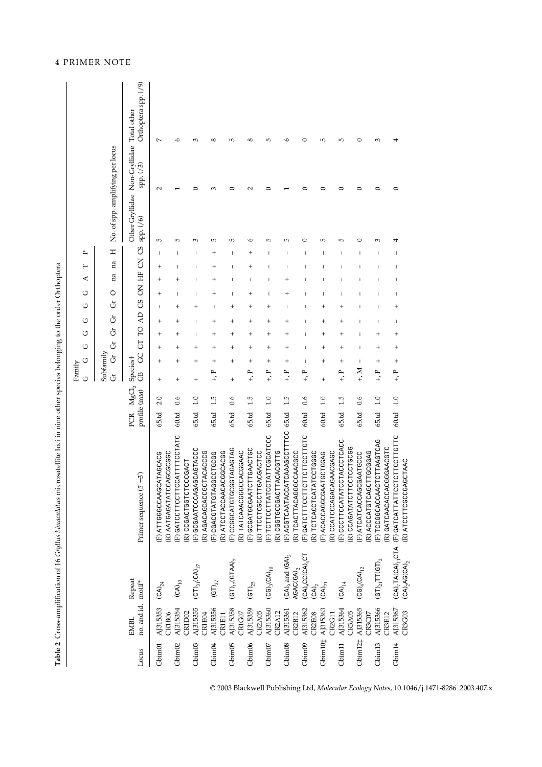| l      |
|--------|
|        |
|        |
| I      |
|        |
|        |
|        |
|        |
|        |
|        |
|        |
|        |
|        |
|        |
|        |
|        |
|        |
|        |
|        |
|        |
|        |
|        |
|        |
|        |
|        |
|        |
|        |
|        |
|        |
|        |
|        |
|        |
| l      |
|        |
|        |
|        |
|        |
|        |
|        |
|        |
|        |
|        |
|        |
|        |
|        |
|        |
|        |
|        |
|        |
|        |
|        |
|        |
|        |
|        |
|        |
|        |
|        |
|        |
|        |
|        |
|        |
|        |
| I      |
|        |
| I      |
|        |
| ŕ      |
| I<br>l |
|        |

|                     |                                        |                                                                                |                                                           |                     |                   | U<br>Family<br>U      | ن                    | ↺              | ↺<br>↺                                | ↺         | ⋖               | ⊢        | ≏                       |                                           |          |                                     |
|---------------------|----------------------------------------|--------------------------------------------------------------------------------|-----------------------------------------------------------|---------------------|-------------------|-----------------------|----------------------|----------------|---------------------------------------|-----------|-----------------|----------|-------------------------|-------------------------------------------|----------|-------------------------------------|
|                     |                                        |                                                                                |                                                           |                     |                   | Subfamily<br>Ġ        | Ğ<br>Ğ               | Ğ              | Ğ                                     | 0<br>Ġ    | na              | na       | Η                       | No. of spp. amplifying per locus          |          |                                     |
| Locus               | no. and id. motif <sup>*</sup><br>EMBL | Repeat                                                                         | Primer sequence $(5' - 3')$                               | profile (mM)<br>PCR | ${ {\rm MgCl}_2}$ | Speciest<br>පී        | $\overline{5}$<br>SC |                | TO AD GS ON HF CN                     |           |                 |          | $\mathcal{S}$           | Other Gryllidae Non-Gryllidae<br>sp. (76) | sp. (73) | Orthoptera spp. (/9)<br>Total other |
| Gbim <sub>01</sub>  | AJ315353                               | $\left( \text{CA}\right) _{24}$                                                | (F) ATTGGGCAAGCATAGCACG                                   | 65.td               | 2.0               | $\,{}^+$<br>$\ddot{}$ | $\ddot{}$            | $\ddot{}$      | $\overline{\phantom{a}}$<br>$\ddot{}$ | $\ddot{}$ | $\,{}^+$        | $\,{}^+$ | 5<br>-1                 | 2                                         |          | $\overline{ }$                      |
|                     | CR1B06                                 |                                                                                | (R) AATGAGATATCCAGCGCGC                                   |                     |                   |                       |                      |                |                                       |           |                 |          |                         |                                           |          |                                     |
| Gbim02              | AJ315354<br>CR1D02                     | $(CA)_{10}$                                                                    | (F) GATCCTTCCTTCCATTTCCTATC<br>CCCGACT<br>(R) CCGACTGGTCT | 60.td               | 0.6               | $^{+}$                | $\overline{ }$       |                | ┽                                     |           |                 |          | $\mathsf{L}\Omega$<br>T |                                           |          | ه                                   |
| Gbim03              | AJ315355                               | $\left(\mathbb{C}\mathbb{T}\right)_{31}\left(\mathbb{C}\mathbb{A}\right)_{17}$ | (F) GCGAATCCCAGAGCAGTACCC                                 | 65.td               | $\frac{0}{1}$     | $^{+}$                | $^{+}$               | Ш              | $^{+}$<br>т                           | т         |                 | т        | 3<br>Т                  | ⊂                                         |          | 3                                   |
| Gbim04              | AJ315356<br>CR1E04                     |                                                                                | (R) AGACAGCACCGCTACACCCG                                  | 65.td               | 1.5               | $+1$                  |                      |                |                                       |           |                 |          | LO <sub>1</sub>         | m                                         |          | $\infty$                            |
|                     | CR1E11                                 | $\left(\text{GT}\right)_{27}$                                                  | (R) ATCCTACCAACACGCACGG<br>(F) CGACGTATGTAGCCTGCGG        |                     |                   | +                     | $\overline{ }$       | $\overline{ }$ | T<br>+                                | +         | +               | +        | +                       |                                           |          |                                     |
| Gbim05              | AJ315358                               | $(GT)_{12}(GTAA)_{7}$                                                          | (F) CCGGCATGTGCGTAGAGTAG                                  | 65.td               | 0.6               | +<br>$^{+}$           | +                    | +              | +<br>+                                | I         | ı               | ı        | 5<br>ı                  | ⊂                                         |          | $\overline{5}$                      |
|                     | CR1G07                                 |                                                                                | (R) TATCAAACGGGCCACGGAAC                                  |                     |                   |                       |                      |                |                                       |           |                 |          |                         |                                           |          |                                     |
| Gbim06              | AJ315359                               | $\left(\mathrm{GT}\right)_{25}$                                                | (F) GCGATGCGAATCTTGAACTGC                                 | 65.td               | 1.5               | $\,^+$<br>$+$ , P     | $\,^+$               | $\,{}^+$       | +<br>$\,^+$                           | +         | Ш               |          | ∽                       | $\scriptstyle\sim$                        |          | $^\circ$                            |
|                     | <b>CR2A05</b>                          |                                                                                | (R) TTCCTCGCCTTGACGACTCC                                  |                     |                   |                       |                      |                |                                       |           |                 |          |                         |                                           |          |                                     |
| Gbim07              | AJ315360                               | $(CG)_{3}(CA)_{10}$                                                            | (F) TCTTCCTTATCCTATTCGCATCC                               | 65.td               | 1.0               | $\,{}^+$<br>$+$ , P   | $\,{}^+$             | +              | +<br>+                                | ı         | ı               |          | LO <sub>1</sub><br>I    | ⊂                                         |          | LO <sub>1</sub>                     |
|                     | <b>CR2A12</b>                          |                                                                                | (R) CGGTGCCGACTTACACGTTG                                  |                     |                   |                       |                      |                |                                       |           |                 |          |                         |                                           |          |                                     |
| Gbim08              | AJ315361                               | $(\texttt{CA})_{9}$ and $(\texttt{GA})_{3}$                                    | (F) ACGTCAATACCATCAAAGCCTTTCC                             | 65.td               | 1.5               | $\,{}^+$<br>$+$ , P   | $\,{}^+$             | +              | ı<br>+                                |           | $^{\mathrm{+}}$ |          | $\mathsf{L}\Omega$<br>I |                                           |          | ७                                   |
|                     | <b>CR2B12</b>                          | AGAC(GA) <sub>2</sub>                                                          | (R) TCACTTACAGGGCCAACGC                                   |                     |                   |                       |                      |                |                                       |           |                 |          |                         |                                           |          |                                     |
| Gbim09              | AJ315362<br>CR2E08                     | $(CA)$ <sub>9</sub> CC(CA) <sub>4</sub> CT<br>$\left($ CA) $_2$                | (F) GATCTTTCCTTCTTCTTCCTTGTC<br>R) TCTCACCTCATATCCTGGGC   | 60.td               | 0.6               | т<br>$+1$             |                      |                | I                                     |           |                 |          | ⊂                       |                                           |          | ⊂                                   |
| Gbim <sub>10‡</sub> | AJ315363                               | $\left(\text{CA}\right)_{21}$                                                  | (F) ACACCAGGCGAATGCTGGAG                                  | 60.td               | 1.0               | $\,^+$<br>$^{+}$      | +                    |                | +<br>+                                |           |                 |          | $\mathsf{L}\cap$        | ⊂                                         |          | 5                                   |
|                     | CR2G11                                 |                                                                                | (R) CCATCCCAGACAGAACGAGC                                  |                     |                   |                       |                      |                |                                       |           |                 |          |                         |                                           |          |                                     |
| Gbim <sub>11</sub>  | AJ315364                               | $\left(\textrm{CA}\right)_{14}$                                                | (F) CCCTTCCATATCCTACCCTCACC                               | 65.td               | 1.5               | $\,{}^+$<br>$+$ , $P$ | ÷                    | ٠              | ٠<br>+                                | T         |                 |          | LC.<br>ı                | ⊂                                         |          | $\mathfrak{g}$                      |
|                     | CR3A05                                 |                                                                                | (R) CCAGATATCTTCCTCCTGCGG                                 |                     |                   |                       |                      |                |                                       |           |                 |          |                         |                                           |          |                                     |
|                     | Gbim12‡ AJ315365                       | $(CG)_{4}(CA)_{12}$                                                            | (F) ATCATCACCAGCGAATGCC                                   | 65.td               | 0.6               | т<br>$_{+,}$ M        | I                    |                | т                                     |           |                 |          | ⊂<br>I                  | ⊂                                         |          | ○                                   |
|                     | CR3C07                                 |                                                                                | R) ACCATGTCAGCTTGCGGAG                                    |                     |                   |                       |                      |                |                                       |           |                 |          |                         |                                           |          |                                     |
| Gbim <sub>13</sub>  | AJ315366<br>CR3E12                     | $\rm (GT)_{21}TT(GT)_{2}$                                                      | F) TCCGGCACCAACTCTTAAGTCAG                                | 65.td               | $\overline{1.0}$  | +<br>$+1$             |                      |                |                                       |           |                 |          | m                       | ⊂                                         |          | $\infty$                            |
| Gbim <sub>14</sub>  | AJ315367                               | $\text{(CA)}_7 \texttt{TA} \texttt{(CA)}_{11} \texttt{CTA}$                    | (F) GATCATTATTCCTCTTCCTTGTTC<br>R) GATCAACACCACGGAACGTC   | 60.td               | 0.1               | $\,{}^+$<br>$+$ , P   | +                    | +              | +<br>ı                                |           |                 |          |                         | ⊂                                         |          |                                     |
|                     | <b>CR3G03</b>                          | $(CA)$ <sub>7</sub> AG $(CA)$ <sub>7</sub>                                     | (R) ATCCTTCGCCGAGCTAAC                                    |                     |                   |                       |                      |                |                                       |           |                 |          |                         |                                           |          |                                     |

© 2003 Blackwell Publishing Ltd, *Molecular Ecology Notes*, 10.1046/j.1471-8286 .2003.407.x

# **4** PRIMER NOTE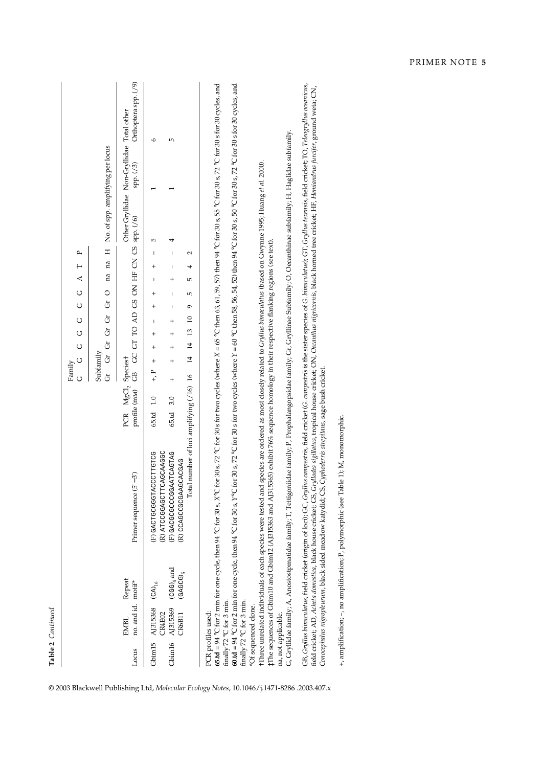|                     |                                                      |                                |                                                                                                                                                                                                                                                                                                                                                                                                                                                   |                                                | U<br>U<br>Family<br>U                                           | U<br>U<br>U<br>$\circ$                                                       | ≏<br>⊢<br>₹                                                                                                                                    |                                                       |                      |
|---------------------|------------------------------------------------------|--------------------------------|---------------------------------------------------------------------------------------------------------------------------------------------------------------------------------------------------------------------------------------------------------------------------------------------------------------------------------------------------------------------------------------------------------------------------------------------------|------------------------------------------------|-----------------------------------------------------------------|------------------------------------------------------------------------------|------------------------------------------------------------------------------------------------------------------------------------------------|-------------------------------------------------------|----------------------|
|                     |                                                      |                                |                                                                                                                                                                                                                                                                                                                                                                                                                                                   |                                                | Subfamily<br>ģ<br>Ġ                                             | O G G G G                                                                    | $\pm$<br>na na                                                                                                                                 | No. of spp. amplifying per locus                      |                      |
| Locus               | no. and id.<br>EMBL                                  | Repeat<br>motif*               | $(5' - 3')$<br>Primer sequence                                                                                                                                                                                                                                                                                                                                                                                                                    | PCR MgCl <sub>2</sub> Speciest<br>profile (mM) | සී                                                              | GC GT TO AD GS ON HF CN GS                                                   | spp. (/6)                                                                                                                                      | Other Gryllidae Non-Gryllidae Total other<br>sp. (73) | Orthoptera spp. (/9) |
| Gbim <sub>15</sub>  | AJ315368<br><b>CR4E02</b>                            | $(CA)_{16}$                    | (R) ATCCGGAGCTTCAGCAAGGC<br>GACTOCCOCOCONTOTICO                                                                                                                                                                                                                                                                                                                                                                                                   | $\ddot{0}$<br>65.td                            | $^{+}$<br>$^{+}$<br>$+$ , $\Gamma$                              | $^{+}$<br>$^{+}$<br>I<br>$^{+}$                                              | 5<br>ı<br>$^{+}$<br>I                                                                                                                          |                                                       | $\circ$              |
| Gbim <sub>16</sub>  | AJ315369<br><b>CR6B11</b>                            | $(CGG)_4$ and<br>$(GAGCG)_{5}$ | Total number of loci amplifying (/16) 16<br>(F) GACGCCCCGAATCAGTAG<br>(R) CCAGCCGCGAAGCACGAG                                                                                                                                                                                                                                                                                                                                                      | 3.0<br>65.td                                   | $\overline{14}$<br>$^{+}$<br>$\overline{1}$<br>$^{+}$<br>$^{+}$ | I<br>5<br>I<br>ó<br>$\overline{a}$<br>$^{+}$<br>$\overline{13}$<br>$\ddot{}$ | 4<br>I<br>2<br>I<br>4<br>$^{+}$<br>5                                                                                                           |                                                       | 5                    |
| PCR profiles used:  | finally 72 °C for 3 min.<br>finally 72 °C for 3 min. |                                | 65.td = 94 °C for 2 min for one cycle, then 94 °C for 30 s, X°C for 30 s, 72 °C for 30 s, for two cycles (where X = 65 °C then 63, 61, 59, 57) then 94 °C for 30 s, 55 °C for 30 s, 72 °C for 30 s for 30 cycles, and<br>$60.1d = 94$ °C for 2 min for one cycle, then $94$ °C for $30$ s, $72$ °C for $30$ s for two cycles (where $Y = 60$ °C then $58$ , $56$ , $54$ , $52$ ) then $94$ °C for $30$ s, $72$ °C for $30$ s for $30$ cycles, and |                                                |                                                                 |                                                                              |                                                                                                                                                |                                                       |                      |
|                     | *Of sequenced clone.                                 |                                | TThree unrelated individuals of each species were tested and species are ordered as most dosely related to Gryllus bimaculatus (based on Gwyme 1995; Huang et al. 2000).<br>IThe sequences of Gbim10 and Gbim12 (AJ315363 and AJ315365) exhibit 76% sequence homology in their respective flanking regions (see text).                                                                                                                            |                                                |                                                                 |                                                                              |                                                                                                                                                |                                                       |                      |
| na, not applicable. |                                                      |                                | G, Gryllidae family; A, Anostostpmatidae family; T, Tettigoniidae family; P, Prophalangopsidae family; Gr, Gryllinae Subfamily; O, Oecanthinae subfamily; H, Haglidae subfamily.                                                                                                                                                                                                                                                                  |                                                |                                                                 |                                                                              |                                                                                                                                                |                                                       |                      |
|                     |                                                      |                                | GB, Gryllus binnaculatus, field cricket (origin of loci); GC, Gryllus ampestris, field cricket (G. ampestris is the sister species of G. binnaculatus); GT, Gryllus texensis, field cricket; TO, Teleogryllus oceanicus,<br>Conocephalus nigropleurum, black sided meadow katydid; CS, Cyphodern's strepitans, sage bush cricket<br>field cricket; AD, Acheta domestica, black house cricket; GS,                                                 |                                                |                                                                 |                                                                              | Grollodes sigillatus, tropical house cricket; ON, Occanthus nigricornis, black horned tree cricket; HF, Hemiandrus funcifer, ground weta; CIN, |                                                       |                      |
|                     |                                                      |                                | +, amplification; -, no amplification; P, polymorphic (see Table 1); M, monomorphic.                                                                                                                                                                                                                                                                                                                                                              |                                                |                                                                 |                                                                              |                                                                                                                                                |                                                       |                      |